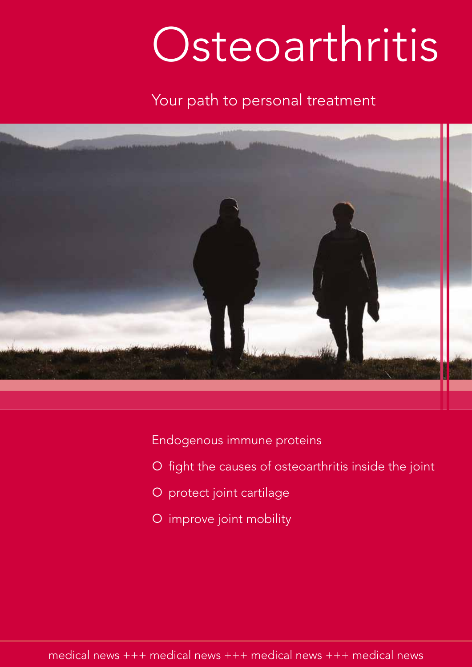# Osteoarthritis

### Your path to personal treatment



Endogenous immune proteins

- O fight the causes of osteoarthritis inside the joint
- O protect joint cartilage
- O improve joint mobility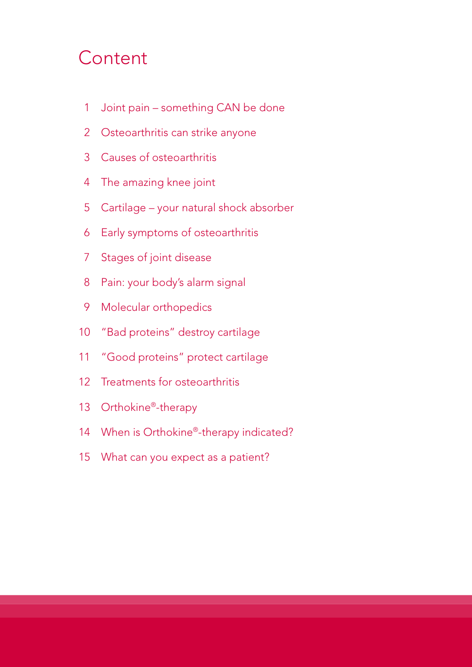# Content

- 1 Joint pain something CAN be done
- Osteoarthritis can strike anyone
- Causes of osteoarthritis
- The amazing knee joint
- Cartilage your natural shock absorber
- Early symptoms of osteoarthritis
- Stages of joint disease
- Pain: your body's alarm signal
- Molecular orthopedics
- "Bad proteins" destroy cartilage
- "Good proteins" protect cartilage
- Treatments for osteoarthritis
- 13 Orthokine®-therapy
- 14 When is Orthokine®-therapy indicated?
- What can you expect as a patient?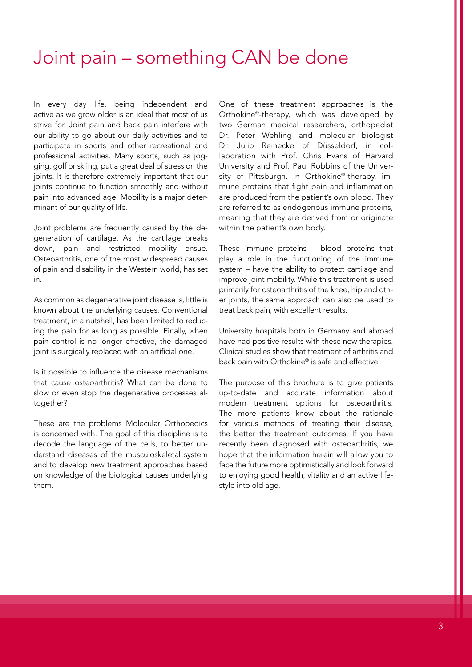## Joint pain – something CAN be done

In every day life, being independent and active as we grow older is an ideal that most of us strive for. Joint pain and back pain interfere with our ability to go about our daily activities and to participate in sports and other recreational and professional activities. Many sports, such as jogging, golf or skiing, put a great deal of stress on the joints. It is therefore extremely important that our joints continue to function smoothly and without pain into advanced age. Mobility is a major determinant of our quality of life.

Joint problems are frequently caused by the degeneration of cartilage. As the cartilage breaks down, pain and restricted mobility ensue. Osteoarthritis, one of the most widespread causes of pain and disability in the Western world, has set in.

As common as degenerative joint disease is, little is known about the underlying causes. Conventional treatment, in a nutshell, has been limited to reducing the pain for as long as possible. Finally, when pain control is no longer effective, the damaged joint is surgically replaced with an artificial one.

Is it possible to influence the disease mechanisms that cause osteoarthritis? What can be done to slow or even stop the degenerative processes altogether?

These are the problems Molecular Orthopedics is concerned with. The goal of this discipline is to decode the language of the cells, to better understand diseases of the musculoskeletal system and to develop new treatment approaches based on knowledge of the biological causes underlying them.

One of these treatment approaches is the Orthokine®-therapy, which was developed by two German medical researchers, orthopedist Dr. Peter Wehling and molecular biologist Dr. Julio Reinecke of Düsseldorf, in collaboration with Prof. Chris Evans of Harvard University and Prof. Paul Robbins of the University of Pittsburgh. In Orthokine®-therapy, immune proteins that fight pain and inflammation are produced from the patient's own blood. They are referred to as endogenous immune proteins, meaning that they are derived from or originate within the patient's own body.

These immune proteins – blood proteins that play a role in the functioning of the immune system – have the ability to protect cartilage and improve joint mobility. While this treatment is used primarily for osteoarthritis of the knee, hip and other joints, the same approach can also be used to treat back pain, with excellent results.

University hospitals both in Germany and abroad have had positive results with these new therapies. Clinical studies show that treatment of arthritis and back pain with Orthokine® is safe and effective.

The purpose of this brochure is to give patients up-to-date and accurate information about modern treatment options for osteoarthritis. The more patients know about the rationale for various methods of treating their disease, the better the treatment outcomes. If you have recently been diagnosed with osteoarthritis, we hope that the information herein will allow you to face the future more optimistically and look forward to enjoying good health, vitality and an active lifestyle into old age.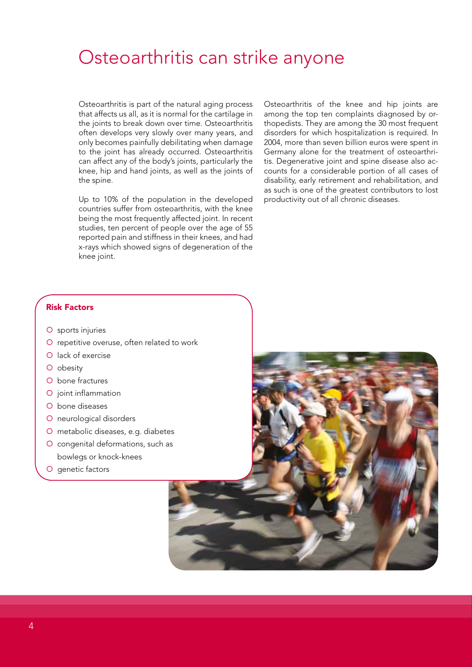### Osteoarthritis can strike anyone

Osteoarthritis is part of the natural aging process that affects us all, as it is normal for the cartilage in the joints to break down over time. Osteoarthritis often develops very slowly over many years, and only becomes painfully debilitating when damage to the joint has already occurred. Osteoarthritis can affect any of the body's joints, particularly the knee, hip and hand joints, as well as the joints of the spine.

Up to 10% of the population in the developed countries suffer from osteoarthritis, with the knee being the most frequently affected joint. In recent studies, ten percent of people over the age of 55 reported pain and stiffness in their knees, and had x-rays which showed signs of degeneration of the knee joint.

Osteoarthritis of the knee and hip joints are among the top ten complaints diagnosed by orthopedists. They are among the 30 most frequent disorders for which hospitalization is required. In 2004, more than seven billion euros were spent in Germany alone for the treatment of osteoarthritis. Degenerative joint and spine disease also accounts for a considerable portion of all cases of disability, early retirement and rehabilitation, and as such is one of the greatest contributors to lost productivity out of all chronic diseases.

#### Risk Factors

- O sports injuries
- O repetitive overuse, often related to work
- O lack of exercise
- O obesity
- O bone fractures
- O joint inflammation
- O bone diseases
- O neurological disorders
- metabolic diseases, e.g. diabetes
- O congenital deformations, such as bowlegs or knock-knees
- O genetic factors

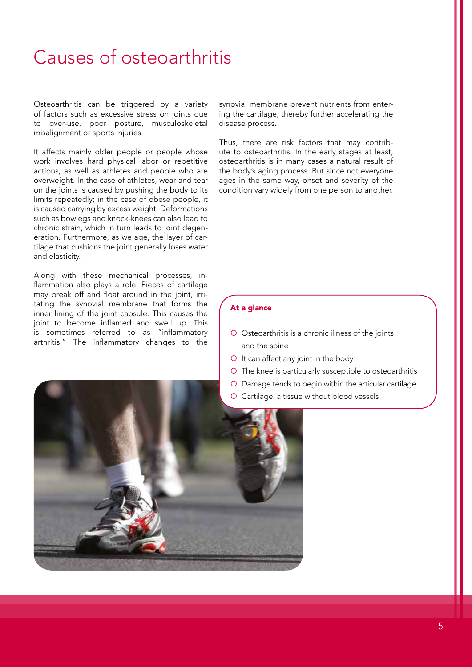# Causes of osteoarthritis

Osteoarthritis can be triggered by a variety of factors such as excessive stress on joints due to over-use, poor posture, musculoskeletal misalignment or sports injuries.

It affects mainly older people or people whose work involves hard physical labor or repetitive actions, as well as athletes and people who are overweight. In the case of athletes, wear and tear on the joints is caused by pushing the body to its limits repeatedly; in the case of obese people, it is caused carrying by excess weight. Deformations such as bowlegs and knock-knees can also lead to chronic strain, which in turn leads to joint degeneration. Furthermore, as we age, the layer of cartilage that cushions the joint generally loses water and elasticity.

Along with these mechanical processes, inflammation also plays a role. Pieces of cartilage may break off and float around in the joint, irritating the synovial membrane that forms the inner lining of the joint capsule. This causes the joint to become inflamed and swell up. This is sometimes referred to as "inflammatory arthritis." The inflammatory changes to the synovial membrane prevent nutrients from entering the cartilage, thereby further accelerating the disease process.

Thus, there are risk factors that may contribute to osteoarthritis. In the early stages at least, osteoarthritis is in many cases a natural result of the body's aging process. But since not everyone ages in the same way, onset and severity of the condition vary widely from one person to another.

#### At a glance

- O Osteoarthritis is a chronic illness of the joints and the spine
- O It can affect any joint in the body
- O The knee is particularly susceptible to osteoarthritis
- Damage tends to begin within the articular cartilage
- Cartilage: a tissue without blood vessels

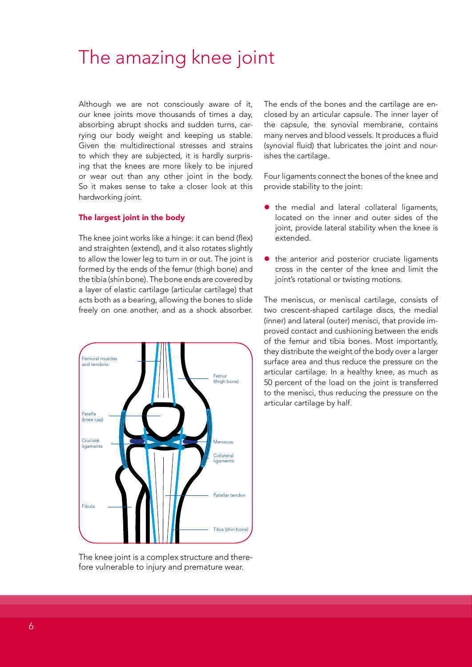## The amazing knee joint

Although we are not consciously aware of it, our knee joints move thousands of times a day, absorbing abrupt shocks and sudden turns, carrying our body weight and keeping us stable. Given the multidirectional stresses and strains to which they are subjected, it is hardly surprising that the knees are more likely to be injured or wear out than any other joint in the body. So it makes sense to take a closer look at this hardworking joint.

#### The largest joint in the body

The knee joint works like a hinge: it can bend (flex) and straighten (extend), and it also rotates slightly to allow the lower leg to turn in or out. The joint is formed by the ends of the femur (thigh bone) and the tibia (shin bone). The bone ends are covered by a layer of elastic cartilage (articular cartilage) that acts both as a bearing, allowing the bones to slide freely on one another, and as a shock absorber.



The ends of the bones and the cartilage are enclosed by an articular capsule. The inner layer of the capsule, the synovial membrane, contains many nerves and blood vessels. It produces a fluid (synovial fluid) that lubricates the joint and nourishes the cartilage.

Four ligaments connect the bones of the knee and provide stability to the joint:

- the medial and lateral collateral ligaments, located on the inner and outer sides of the joint, provide lateral stability when the knee is extended.
- the anterior and posterior cruciate ligaments cross in the center of the knee and limit the joint's rotational or twisting motions.

The meniscus, or meniscal cartilage, consists of two crescent-shaped cartilage discs, the medial (inner) and lateral (outer) menisci, that provide improved contact and cushioning between the ends of the femur and tibia bones. Most importantly, they distribute the weight of the body over a larger surface area and thus reduce the pressure on the articular cartilage. In a healthy knee, as much as 50 percent of the load on the joint is transferred to the menisci, thus reducing the pressure on the articular cartilage by half.

The knee joint is a complex structure and therefore vulnerable to injury and premature wear.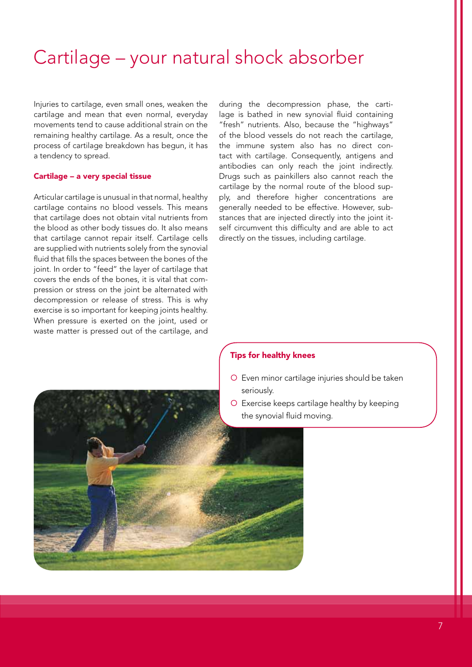# Cartilage – your natural shock absorber

Injuries to cartilage, even small ones, weaken the cartilage and mean that even normal, everyday movements tend to cause additional strain on the remaining healthy cartilage. As a result, once the process of cartilage breakdown has begun, it has a tendency to spread.

#### Cartilage – a very special tissue

Articular cartilage is unusual in that normal, healthy cartilage contains no blood vessels. This means that cartilage does not obtain vital nutrients from the blood as other body tissues do. It also means that cartilage cannot repair itself. Cartilage cells are supplied with nutrients solely from the synovial fluid that fills the spaces between the bones of the joint. In order to "feed" the layer of cartilage that covers the ends of the bones, it is vital that compression or stress on the joint be alternated with decompression or release of stress. This is why exercise is so important for keeping joints healthy. When pressure is exerted on the joint, used or waste matter is pressed out of the cartilage, and during the decompression phase, the cartilage is bathed in new synovial fluid containing "fresh" nutrients. Also, because the "highways" of the blood vessels do not reach the cartilage, the immune system also has no direct contact with cartilage. Consequently, antigens and antibodies can only reach the joint indirectly. Drugs such as painkillers also cannot reach the cartilage by the normal route of the blood supply, and therefore higher concentrations are generally needed to be effective. However, substances that are injected directly into the joint itself circumvent this difficulty and are able to act directly on the tissues, including cartilage.

#### Tips for healthy knees

- Even minor cartilage injuries should be taken seriously.
- O Exercise keeps cartilage healthy by keeping the synovial fluid moving.

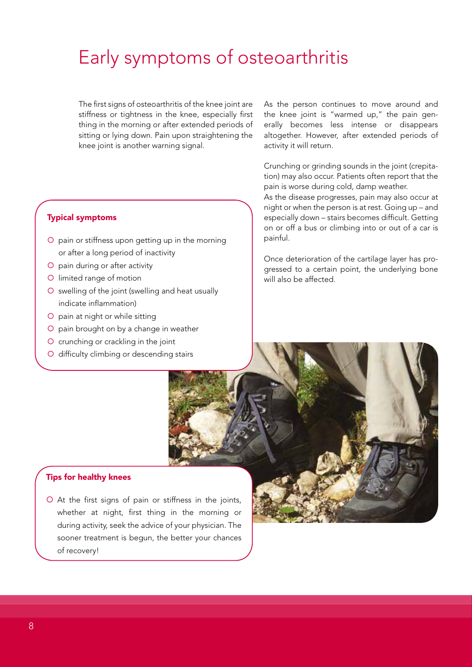# Early symptoms of osteoarthritis

The first signs of osteoarthritis of the knee joint are stiffness or tightness in the knee, especially first thing in the morning or after extended periods of sitting or lying down. Pain upon straightening the knee joint is another warning signal.

#### Typical symptoms

- O pain or stiffness upon getting up in the morning or after a long period of inactivity
- O pain during or after activity
- O limited range of motion
- O swelling of the joint (swelling and heat usually indicate inflammation)
- O pain at night or while sitting
- O pain brought on by a change in weather
- O crunching or crackling in the joint
- O difficulty climbing or descending stairs

As the person continues to move around and the knee joint is "warmed up," the pain generally becomes less intense or disappears altogether. However, after extended periods of activity it will return.

Crunching or grinding sounds in the joint (crepitation) may also occur. Patients often report that the pain is worse during cold, damp weather.

As the disease progresses, pain may also occur at night or when the person is at rest. Going up – and especially down – stairs becomes difficult. Getting on or off a bus or climbing into or out of a car is painful.

Once deterioration of the cartilage layer has progressed to a certain point, the underlying bone will also be affected.

#### Tips for healthy knees

 At the first signs of pain or stiffness in the joints, whether at night, first thing in the morning or during activity, seek the advice of your physician. The sooner treatment is begun, the better your chances of recovery!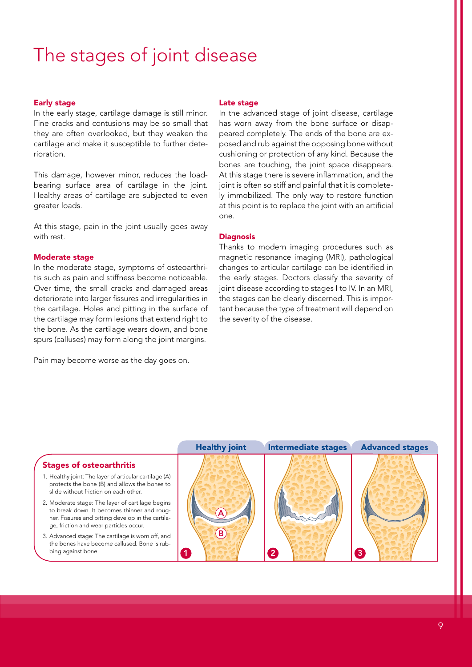# The stages of joint disease

#### Early stage

In the early stage, cartilage damage is still minor. Fine cracks and contusions may be so small that they are often overlooked, but they weaken the cartilage and make it susceptible to further deterioration.

This damage, however minor, reduces the loadbearing surface area of cartilage in the joint. Healthy areas of cartilage are subjected to even greater loads.

At this stage, pain in the joint usually goes away with rest.

#### Moderate stage

In the moderate stage, symptoms of osteoarthritis such as pain and stiffness become noticeable. Over time, the small cracks and damaged areas deteriorate into larger fissures and irregularities in the cartilage. Holes and pitting in the surface of the cartilage may form lesions that extend right to the bone. As the cartilage wears down, and bone spurs (calluses) may form along the joint margins.

Pain may become worse as the day goes on.

#### Late stage

In the advanced stage of joint disease, cartilage has worn away from the bone surface or disappeared completely. The ends of the bone are exposed and rub against the opposing bone without cushioning or protection of any kind. Because the bones are touching, the joint space disappears. At this stage there is severe inflammation, and the joint is often so stiff and painful that it is completely immobilized. The only way to restore function at this point is to replace the joint with an artificial one.

#### **Diagnosis**

Thanks to modern imaging procedures such as magnetic resonance imaging (MRI), pathological changes to articular cartilage can be identified in the early stages. Doctors classify the severity of joint disease according to stages I to IV. In an MRI, the stages can be clearly discerned. This is important because the type of treatment will depend on the severity of the disease.

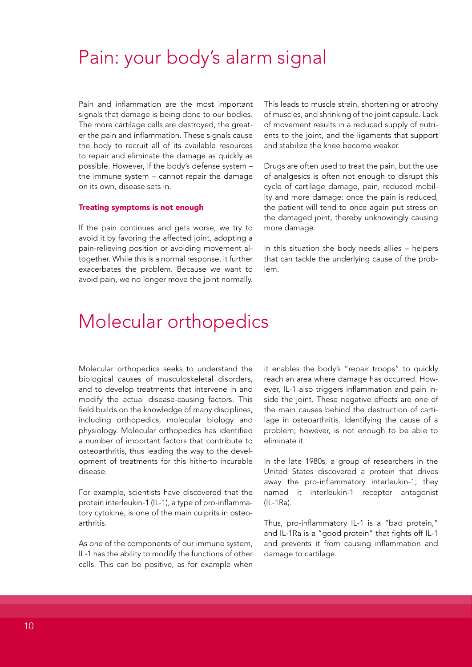### Pain: your body's alarm signal

Pain and inflammation are the most important signals that damage is being done to our bodies. The more cartilage cells are destroyed, the greater the pain and inflammation. These signals cause the body to recruit all of its available resources to repair and eliminate the damage as quickly as possible. However, if the body's defense system – the immune system – cannot repair the damage on its own, disease sets in.

#### Treating symptoms is not enough

If the pain continues and gets worse, we try to avoid it by favoring the affected joint, adopting a pain-relieving position or avoiding movement altogether. While this is a normal response, it further exacerbates the problem. Because we want to avoid pain, we no longer move the joint normally.

This leads to muscle strain, shortening or atrophy of muscles, and shrinking of the joint capsule. Lack of movement results in a reduced supply of nutrients to the joint, and the ligaments that support and stabilize the knee become weaker.

Drugs are often used to treat the pain, but the use of analgesics is often not enough to disrupt this cycle of cartilage damage, pain, reduced mobility and more damage: once the pain is reduced, the patient will tend to once again put stress on the damaged joint, thereby unknowingly causing more damage.

In this situation the body needs allies – helpers that can tackle the underlying cause of the problem.

### Molecular orthopedics

Molecular orthopedics seeks to understand the biological causes of musculoskeletal disorders, and to develop treatments that intervene in and modify the actual disease-causing factors. This field builds on the knowledge of many disciplines, including orthopedics, molecular biology and physiology. Molecular orthopedics has identified a number of important factors that contribute to osteoarthritis, thus leading the way to the development of treatments for this hitherto incurable disease.

For example, scientists have discovered that the protein interleukin-1 (IL-1), a type of pro-inflammatory cytokine, is one of the main culprits in osteoarthritis.

As one of the components of our immune system, IL-1 has the ability to modify the functions of other cells. This can be positive, as for example when

it enables the body's "repair troops" to quickly reach an area where damage has occurred. However, IL-1 also triggers inflammation and pain inside the joint. These negative effects are one of the main causes behind the destruction of cartilage in osteoarthritis. Identifying the cause of a problem, however, is not enough to be able to eliminate it.

In the late 1980s, a group of researchers in the United States discovered a protein that drives away the pro-inflammatory interleukin-1; they named it interleukin-1 receptor antagonist (IL-1Ra).

Thus, pro-inflammatory IL-1 is a "bad protein," and IL-1Ra is a "good protein" that fights off IL-1 and prevents it from causing inflammation and damage to cartilage.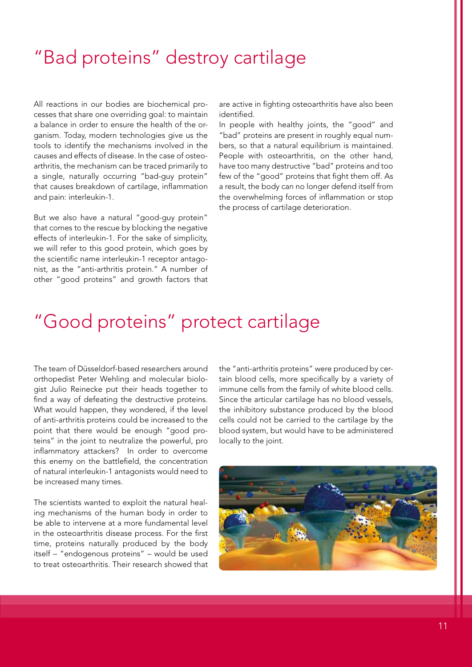# "Bad proteins" destroy cartilage

All reactions in our bodies are biochemical processes that share one overriding goal: to maintain a balance in order to ensure the health of the organism. Today, modern technologies give us the tools to identify the mechanisms involved in the causes and effects of disease. In the case of osteoarthritis, the mechanism can be traced primarily to a single, naturally occurring "bad-guy protein" that causes breakdown of cartilage, inflammation and pain: interleukin-1.

But we also have a natural "good-guy protein" that comes to the rescue by blocking the negative effects of interleukin-1. For the sake of simplicity, we will refer to this good protein, which goes by the scientific name interleukin-1 receptor antagonist, as the "anti-arthritis protein." A number of other "good proteins" and growth factors that are active in fighting osteoarthritis have also been identified.

In people with healthy joints, the "good" and "bad" proteins are present in roughly equal numbers, so that a natural equilibrium is maintained. People with osteoarthritis, on the other hand, have too many destructive "bad" proteins and too few of the "good" proteins that fight them off. As a result, the body can no longer defend itself from the overwhelming forces of inflammation or stop the process of cartilage deterioration.

### "Good proteins" protect cartilage

The team of Düsseldorf-based researchers around orthopedist Peter Wehling and molecular biologist Julio Reinecke put their heads together to find a way of defeating the destructive proteins. What would happen, they wondered, if the level of anti-arthritis proteins could be increased to the point that there would be enough "good proteins" in the joint to neutralize the powerful, pro inflammatory attackers? In order to overcome this enemy on the battlefield, the concentration of natural interleukin-1 antagonists would need to be increased many times.

The scientists wanted to exploit the natural healing mechanisms of the human body in order to be able to intervene at a more fundamental level in the osteoarthritis disease process. For the first time, proteins naturally produced by the body itself – "endogenous proteins" – would be used to treat osteoarthritis. Their research showed that the "anti-arthritis proteins" were produced by certain blood cells, more specifically by a variety of immune cells from the family of white blood cells. Since the articular cartilage has no blood vessels, the inhibitory substance produced by the blood cells could not be carried to the cartilage by the blood system, but would have to be administered locally to the joint.

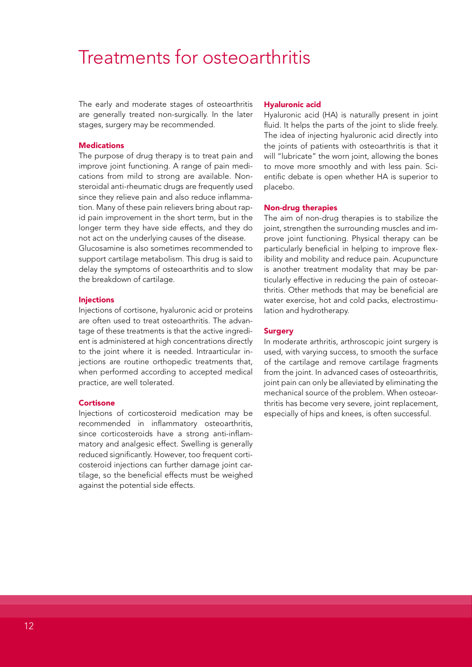### Treatments for osteoarthritis

The early and moderate stages of osteoarthritis are generally treated non-surgically. In the later stages, surgery may be recommended.

#### **Medications**

The purpose of drug therapy is to treat pain and improve joint functioning. A range of pain medications from mild to strong are available. Nonsteroidal anti-rheumatic drugs are frequently used since they relieve pain and also reduce inflammation. Many of these pain relievers bring about rapid pain improvement in the short term, but in the longer term they have side effects, and they do not act on the underlying causes of the disease.

Glucosamine is also sometimes recommended to support cartilage metabolism. This drug is said to delay the symptoms of osteoarthritis and to slow the breakdown of cartilage.

#### **Injections**

Injections of cortisone, hyaluronic acid or proteins are often used to treat osteoarthritis. The advantage of these treatments is that the active ingredient is administered at high concentrations directly to the joint where it is needed. Intraarticular injections are routine orthopedic treatments that, when performed according to accepted medical practice, are well tolerated.

#### **Cortisone**

Injections of corticosteroid medication may be recommended in inflammatory osteoarthritis, since corticosteroids have a strong anti-inflammatory and analgesic effect. Swelling is generally reduced significantly. However, too frequent corticosteroid injections can further damage joint cartilage, so the beneficial effects must be weighed against the potential side effects.

#### Hyaluronic acid

Hyaluronic acid (HA) is naturally present in joint fluid. It helps the parts of the joint to slide freely. The idea of injecting hyaluronic acid directly into the joints of patients with osteoarthritis is that it will "lubricate" the worn joint, allowing the bones to move more smoothly and with less pain. Scientific debate is open whether HA is superior to placebo.

#### Non-drug therapies

The aim of non-drug therapies is to stabilize the joint, strengthen the surrounding muscles and improve joint functioning. Physical therapy can be particularly beneficial in helping to improve flexibility and mobility and reduce pain. Acupuncture is another treatment modality that may be particularly effective in reducing the pain of osteoarthritis. Other methods that may be beneficial are water exercise, hot and cold packs, electrostimulation and hydrotherapy.

#### **Surgery**

In moderate arthritis, arthroscopic joint surgery is used, with varying success, to smooth the surface of the cartilage and remove cartilage fragments from the joint. In advanced cases of osteoarthritis, joint pain can only be alleviated by eliminating the mechanical source of the problem. When osteoarthritis has become very severe, joint replacement, especially of hips and knees, is often successful.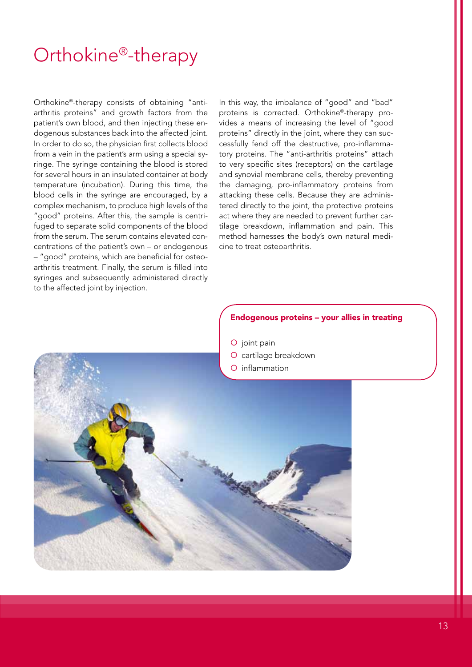# Orthokine®-therapy

Orthokine®-therapy consists of obtaining "antiarthritis proteins" and growth factors from the patient's own blood, and then injecting these endogenous substances back into the affected joint. In order to do so, the physician first collects blood from a vein in the patient's arm using a special syringe. The syringe containing the blood is stored for several hours in an insulated container at body temperature (incubation). During this time, the blood cells in the syringe are encouraged, by a complex mechanism, to produce high levels of the "good" proteins. After this, the sample is centrifuged to separate solid components of the blood from the serum. The serum contains elevated concentrations of the patient's own – or endogenous – "good" proteins, which are beneficial for osteoarthritis treatment. Finally, the serum is filled into syringes and subsequently administered directly to the affected joint by injection.

In this way, the imbalance of "good" and "bad" proteins is corrected. Orthokine®-therapy provides a means of increasing the level of "good proteins" directly in the joint, where they can successfully fend off the destructive, pro-inflammatory proteins. The "anti-arthritis proteins" attach to very specific sites (receptors) on the cartilage and synovial membrane cells, thereby preventing the damaging, pro-inflammatory proteins from attacking these cells. Because they are administered directly to the joint, the protective proteins act where they are needed to prevent further cartilage breakdown, inflammation and pain. This method harnesses the body's own natural medicine to treat osteoarthritis.

#### Endogenous proteins – your allies in treating

O joint pain

- O cartilage breakdown
- O inflammation

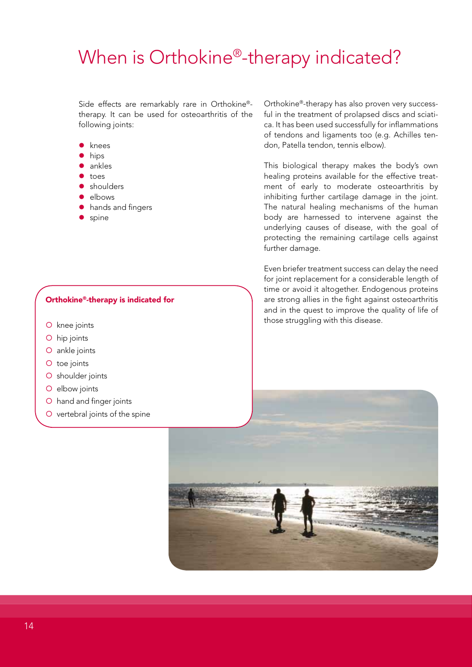# When is Orthokine<sup>®</sup>-therapy indicated?

Side effects are remarkably rare in Orthokine® therapy. It can be used for osteoarthritis of the following joints:

- knees
- hips
- ankles
- toes
- shoulders
- elbows
- hands and fingers
- spine

#### Orthokine®-therapy is indicated for

- O knee joints
- O hip joints
- O ankle joints
- O toe joints
- O shoulder joints
- O elbow joints
- hand and finger joints
- O vertebral joints of the spine

Orthokine®-therapy has also proven very successful in the treatment of prolapsed discs and sciatica. It has been used successfully for inflammations of tendons and ligaments too (e.g. Achilles tendon, Patella tendon, tennis elbow).

This biological therapy makes the body's own healing proteins available for the effective treatment of early to moderate osteoarthritis by inhibiting further cartilage damage in the joint. The natural healing mechanisms of the human body are harnessed to intervene against the underlying causes of disease, with the goal of protecting the remaining cartilage cells against further damage.

Even briefer treatment success can delay the need for joint replacement for a considerable length of time or avoid it altogether. Endogenous proteins are strong allies in the fight against osteoarthritis and in the quest to improve the quality of life of those struggling with this disease.